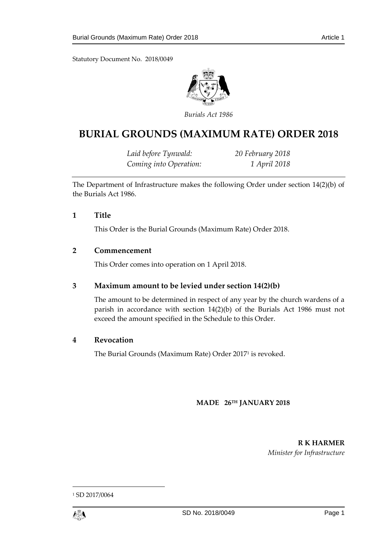Statutory Document No. 2018/0049



*Burials Act 1986*

# **BURIAL GROUNDS (MAXIMUM RATE) ORDER 2018**

*Laid before Tynwald: 20 February 2018 Coming into Operation: 1 April 2018*

The Department of Infrastructure makes the following Order under section 14(2)(b) of the Burials Act 1986.

# **1 Title**

This Order is the Burial Grounds (Maximum Rate) Order 2018.

# **2 Commencement**

This Order comes into operation on 1 April 2018.

### **3 Maximum amount to be levied under section 14(2)(b)**

The amount to be determined in respect of any year by the church wardens of a parish in accordance with section 14(2)(b) of the Burials Act 1986 must not exceed the amount specified in the Schedule to this Order.

## **4 Revocation**

The Burial Grounds (Maximum Rate) Order 2017<sup>1</sup> is revoked.

#### **MADE 26TH JANUARY 2018**

**R K HARMER** *Minister for Infrastructure*

<sup>1</sup> SD 2017/0064



1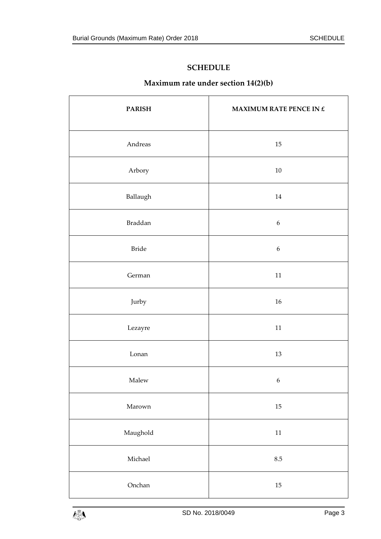# **SCHEDULE**

# **Maximum rate under section 14(2)(b)**

| <b>PARISH</b>   | MAXIMUM RATE PENCE IN $\boldsymbol{\mathit{E}}$ |
|-----------------|-------------------------------------------------|
| Andreas         | $15\,$                                          |
| Arbory          | $10\,$                                          |
| Ballaugh        | $14\,$                                          |
| Braddan         | $\boldsymbol{6}$                                |
| <b>Bride</b>    | $\boldsymbol{6}$                                |
| German          | $11\,$                                          |
| Jurby           | $16\,$                                          |
| Lezayre         | $11\,$                                          |
| Lonan           | 13                                              |
| Malew           | $\boldsymbol{6}$                                |
| $\mbox{Marown}$ | $15\,$                                          |
| Maughold        | $11\,$                                          |
| $\rm Michael$   | $\!\!8.5\!$                                     |
| Onchan          | $15\,$                                          |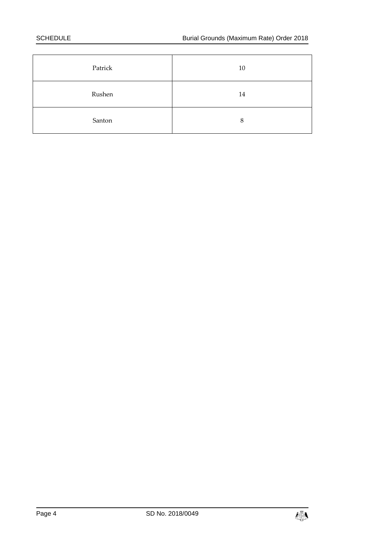| Patrick | 10 |
|---------|----|
| Rushen  | 14 |
| Santon  | 8  |